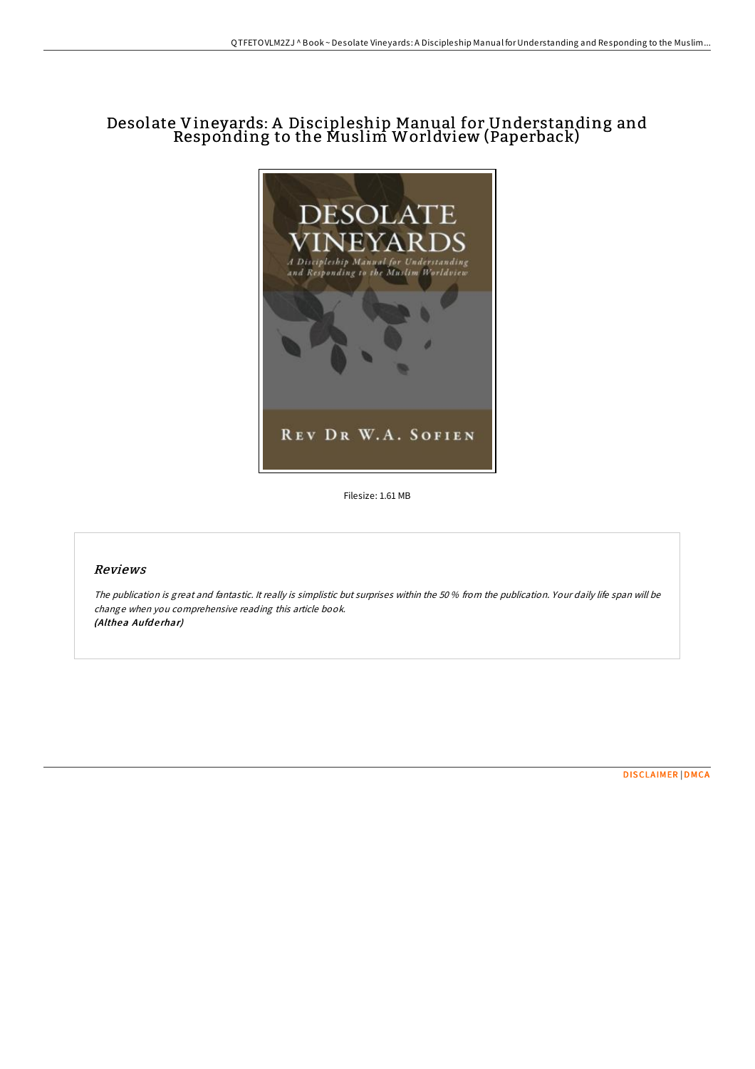# Desolate Vineyards: A Discipleship Manual for Understanding and Responding to the Muslim Worldview (Paperback)



Filesize: 1.61 MB

### Reviews

The publication is great and fantastic. It really is simplistic but surprises within the 50 % from the publication. Your daily life span will be change when you comprehensive reading this article book. (Althea Aufderhar)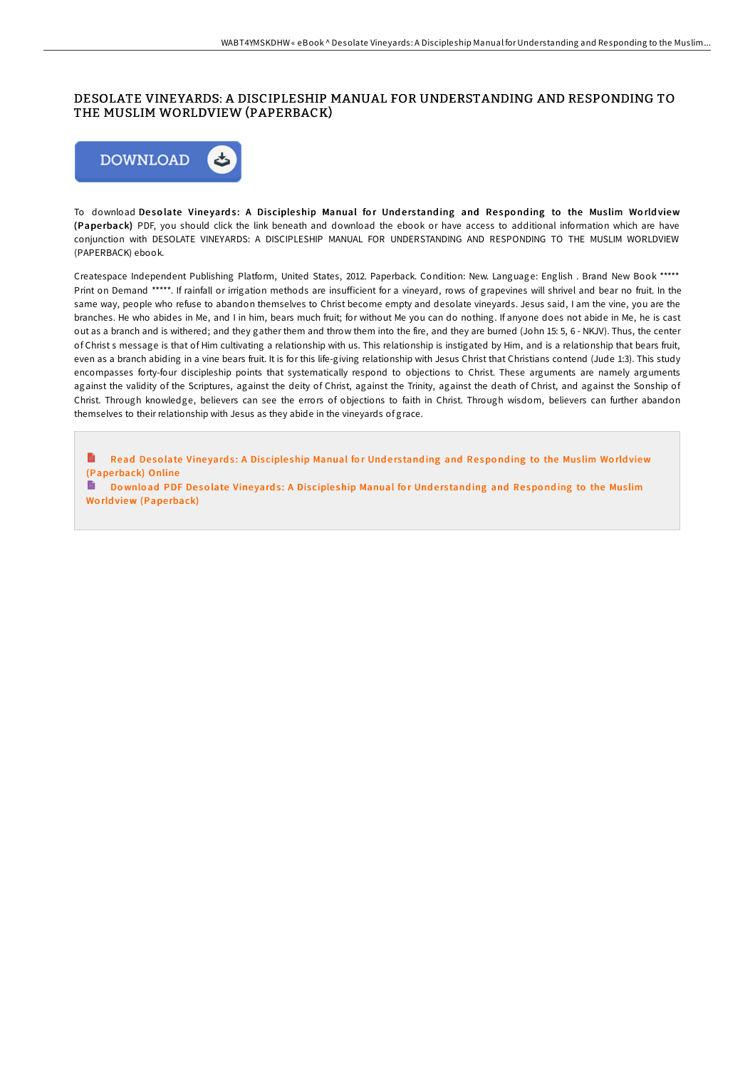# DESOLATE VINEYARDS: A DISCIPLESHIP MANUAL FOR UNDERSTANDING AND RESPONDING TO THE MUSLIM WORLDVIEW (PAPERBACK)



To download Desolate Vineyards: A Discipleship Manual for Understanding and Responding to the Muslim Worldview (Pape rback) PDF, you should click the link beneath and download the ebook or have access to additional information which are have conjunction with DESOLATE VINEYARDS: A DISCIPLESHIP MANUAL FOR UNDERSTANDING AND RESPONDING TO THE MUSLIM WORLDVIEW (PAPERBACK) ebook.

Createspace Independent Publishing Platform, United States, 2012. Paperback. Condition: New. Language: English . Brand New Book \*\*\*\*\* Print on Demand \*\*\*\*\*. If rainfall or irrigation methods are insufficient for a vineyard, rows of grapevines will shrivel and bear no fruit. In the same way, people who refuse to abandon themselves to Christ become empty and desolate vineyards. Jesus said, I am the vine, you are the branches. He who abides in Me, and I in him, bears much fruit; for without Me you can do nothing. If anyone does not abide in Me, he is cast out as a branch and is withered; and they gather them and throw them into the fire, and they are burned (John 15: 5, 6 - NKJV). Thus, the center of Christ s message is that of Him cultivating a relationship with us. This relationship is instigated by Him, and is a relationship that bears fruit, even as a branch abiding in a vine bears fruit. It is for this life-giving relationship with Jesus Christ that Christians contend (Jude 1:3). This study encompasses forty-four discipleship points that systematically respond to objections to Christ. These arguments are namely arguments against the validity of the Scriptures, against the deity of Christ, against the Trinity, against the death of Christ, and against the Sonship of Christ. Through knowledge, believers can see the errors of objections to faith in Christ. Through wisdom, believers can further abandon themselves to their relationship with Jesus as they abide in the vineyards of grace.

E Read Desolate Vineyards: A Discipleship [Manual](http://almighty24.tech/desolate-vineyards-a-discipleship-manual-for-und.html) for Understanding and Responding to the Muslim Worldview (Pape rback) Online

Do wnload PDF Desolate Vineyards: A Discipleship [Manual](http://almighty24.tech/desolate-vineyards-a-discipleship-manual-for-und.html) for Understanding and Responding to the Muslim World view (Paperback)